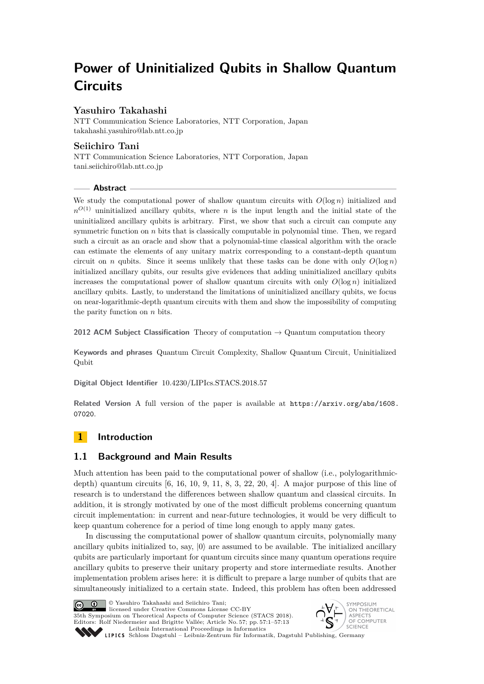# **Power of Uninitialized Qubits in Shallow Quantum Circuits**

# **Yasuhiro Takahashi**

NTT Communication Science Laboratories, NTT Corporation, Japan [takahashi.yasuhiro@lab.ntt.co.jp](mailto:takahashi.yasuhiro@lab.ntt.co.jp)

# **Seiichiro Tani**

NTT Communication Science Laboratories, NTT Corporation, Japan [tani.seiichiro@lab.ntt.co.jp](mailto:tani.seiichiro@lab.ntt.co.jp)

## **Abstract**

We study the computational power of shallow quantum circuits with  $O(\log n)$  initialized and  $n^{O(1)}$  uninitialized ancillary qubits, where *n* is the input length and the initial state of the uninitialized ancillary qubits is arbitrary. First, we show that such a circuit can compute any symmetric function on  $n$  bits that is classically computable in polynomial time. Then, we regard such a circuit as an oracle and show that a polynomial-time classical algorithm with the oracle can estimate the elements of any unitary matrix corresponding to a constant-depth quantum circuit on *n* qubits. Since it seems unlikely that these tasks can be done with only  $O(\log n)$ initialized ancillary qubits, our results give evidences that adding uninitialized ancillary qubits increases the computational power of shallow quantum circuits with only  $O(\log n)$  initialized ancillary qubits. Lastly, to understand the limitations of uninitialized ancillary qubits, we focus on near-logarithmic-depth quantum circuits with them and show the impossibility of computing the parity function on *n* bits.

**2012 ACM Subject Classification** Theory of computation → Quantum computation theory

**Keywords and phrases** Quantum Circuit Complexity, Shallow Quantum Circuit, Uninitialized Qubit

**Digital Object Identifier** [10.4230/LIPIcs.STACS.2018.57](http://dx.doi.org/10.4230/LIPIcs.STACS.2018.57)

Related Version A full version of the paper is available at [https://arxiv.org/abs/1608.](https://arxiv.org/abs/1608.07020) [07020](https://arxiv.org/abs/1608.07020).

# **1 Introduction**

## **1.1 Background and Main Results**

Much attention has been paid to the computational power of shallow (i.e., polylogarithmicdepth) quantum circuits [\[6,](#page-12-0) [16,](#page-12-1) [10,](#page-12-2) [9,](#page-12-3) [11,](#page-12-4) [8,](#page-12-5) [3,](#page-12-6) [22,](#page-12-7) [20,](#page-12-8) [4\]](#page-12-9). A major purpose of this line of research is to understand the differences between shallow quantum and classical circuits. In addition, it is strongly motivated by one of the most difficult problems concerning quantum circuit implementation: in current and near-future technologies, it would be very difficult to keep quantum coherence for a period of time long enough to apply many gates.

In discussing the computational power of shallow quantum circuits, polynomially many ancillary qubits initialized to, say,  $|0\rangle$  are assumed to be available. The initialized ancillary qubits are particularly important for quantum circuits since many quantum operations require ancillary qubits to preserve their unitary property and store intermediate results. Another implementation problem arises here: it is difficult to prepare a large number of qubits that are simultaneously initialized to a certain state. Indeed, this problem has often been addressed



© Yasuhiro Takahashi and Seiichiro Tani;

licensed under Creative Commons License CC-BY 35th Symposium on Theoretical Aspects of Computer Science (STACS 2018). Editors: Rolf Niedermeier and Brigitte Vallée; Article No. 57; pp. 57:1–57[:13](#page-12-10) [Leibniz International Proceedings in Informatics](http://www.dagstuhl.de/lipics/)



Leibniz international ruceedings in miorimetric<br>
LIPICS [Schloss Dagstuhl – Leibniz-Zentrum für Informatik, Dagstuhl Publishing, Germany](http://www.dagstuhl.de)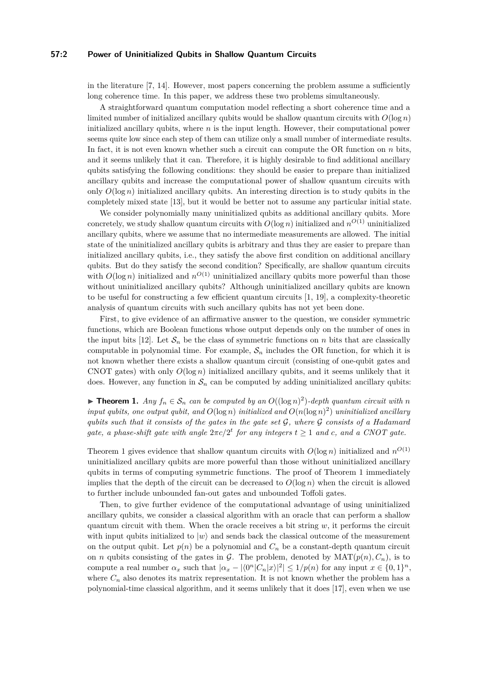## **57:2 Power of Uninitialized Qubits in Shallow Quantum Circuits**

in the literature [\[7,](#page-12-11) [14\]](#page-12-12). However, most papers concerning the problem assume a sufficiently long coherence time. In this paper, we address these two problems simultaneously.

A straightforward quantum computation model reflecting a short coherence time and a limited number of initialized ancillary qubits would be shallow quantum circuits with  $O(\log n)$ initialized ancillary qubits, where *n* is the input length. However, their computational power seems quite low since each step of them can utilize only a small number of intermediate results. In fact, it is not even known whether such a circuit can compute the OR function on *n* bits, and it seems unlikely that it can. Therefore, it is highly desirable to find additional ancillary qubits satisfying the following conditions: they should be easier to prepare than initialized ancillary qubits and increase the computational power of shallow quantum circuits with only  $O(\log n)$  initialized ancillary qubits. An interesting direction is to study qubits in the completely mixed state [\[13\]](#page-12-13), but it would be better not to assume any particular initial state.

We consider polynomially many uninitialized qubits as additional ancillary qubits. More concretely, we study shallow quantum circuits with  $O(\log n)$  initialized and  $n^{O(1)}$  uninitialized ancillary qubits, where we assume that no intermediate measurements are allowed. The initial state of the uninitialized ancillary qubits is arbitrary and thus they are easier to prepare than initialized ancillary qubits, i.e., they satisfy the above first condition on additional ancillary qubits. But do they satisfy the second condition? Specifically, are shallow quantum circuits with  $O(\log n)$  initialized and  $n^{O(1)}$  uninitialized ancillary qubits more powerful than those without uninitialized ancillary qubits? Although uninitialized ancillary qubits are known to be useful for constructing a few efficient quantum circuits [\[1,](#page-12-14) [19\]](#page-12-15), a complexity-theoretic analysis of quantum circuits with such ancillary qubits has not yet been done.

First, to give evidence of an affirmative answer to the question, we consider symmetric functions, which are Boolean functions whose output depends only on the number of ones in the input bits [\[12\]](#page-12-16). Let  $S_n$  be the class of symmetric functions on *n* bits that are classically computable in polynomial time. For example,  $S_n$  includes the OR function, for which it is not known whether there exists a shallow quantum circuit (consisting of one-qubit gates and CNOT gates) with only *O*(log *n*) initialized ancillary qubits, and it seems unlikely that it does. However, any function in  $\mathcal{S}_n$  can be computed by adding uninitialized ancillary qubits:

<span id="page-1-0"></span>▶ **Theorem 1.** *Any*  $f_n \in S_n$  *can be computed by an*  $O((\log n)^2)$ -*depth quantum circuit with n input qubits, one output qubit, and*  $O(\log n)$  *initialized and*  $O(n(\log n)^2)$  *uninitialized ancillary qubits such that it consists of the gates in the gate set* G*, where* G *consists of a Hadamard gate, a phase-shift gate with angle*  $2\pi c/2^t$  *for any integers*  $t \geq 1$  *and c, and a CNOT gate.* 

Theorem [1](#page-1-0) gives evidence that shallow quantum circuits with  $O(\log n)$  initialized and  $n^{O(1)}$ uninitialized ancillary qubits are more powerful than those without uninitialized ancillary qubits in terms of computing symmetric functions. The proof of Theorem [1](#page-1-0) immediately implies that the depth of the circuit can be decreased to  $O(\log n)$  when the circuit is allowed to further include unbounded fan-out gates and unbounded Toffoli gates.

Then, to give further evidence of the computational advantage of using uninitialized ancillary qubits, we consider a classical algorithm with an oracle that can perform a shallow quantum circuit with them. When the oracle receives a bit string  $w$ , it performs the circuit with input qubits initialized to  $|w\rangle$  and sends back the classical outcome of the measurement on the output qubit. Let  $p(n)$  be a polynomial and  $C_n$  be a constant-depth quantum circuit on *n* qubits consisting of the gates in  $\mathcal{G}$ . The problem, denoted by  $\text{MAT}(p(n), C_n)$ , is to compute a real number  $\alpha_x$  such that  $|\alpha_x - |\langle 0^n | C_n | x \rangle|^2 \leq 1/p(n)$  for any input  $x \in \{0,1\}^n$ , where  $C_n$  also denotes its matrix representation. It is not known whether the problem has a polynomial-time classical algorithm, and it seems unlikely that it does [\[17\]](#page-12-17), even when we use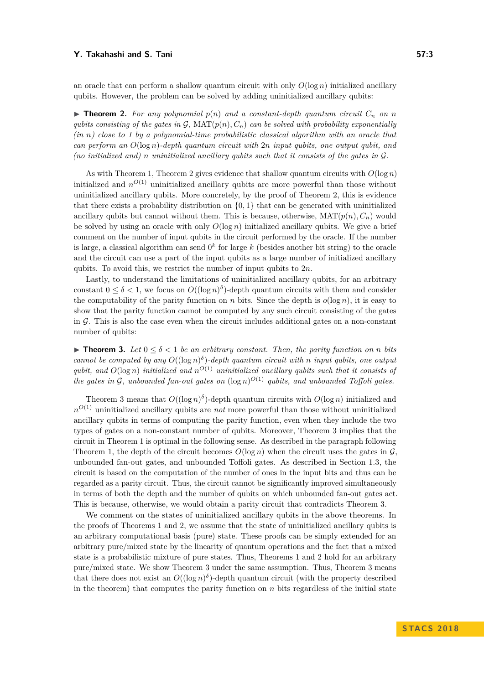an oracle that can perform a shallow quantum circuit with only  $O(\log n)$  initialized ancillary qubits. However, the problem can be solved by adding uninitialized ancillary qubits:

<span id="page-2-0"></span> $\triangleright$  **Theorem 2.** For any polynomial  $p(n)$  and a constant-depth quantum circuit  $C_n$  on  $n$ *qubits consisting of the gates in*  $G$ *,* MAT $(p(n), C_n)$  *can be solved with probability exponentially (in n) close to 1 by a polynomial-time probabilistic classical algorithm with an oracle that can perform an O*(log *n*)*-depth quantum circuit with* 2*n input qubits, one output qubit, and (no initialized and) n uninitialized ancillary qubits such that it consists of the gates in* G*.*

As with Theorem [1,](#page-1-0) Theorem [2](#page-2-0) gives evidence that shallow quantum circuits with *O*(log *n*) initialized and  $n^{O(1)}$  uninitialized ancillary qubits are more powerful than those without uninitialized ancillary qubits. More concretely, by the proof of Theorem [2,](#page-2-0) this is evidence that there exists a probability distribution on  $\{0,1\}$  that can be generated with uninitialized ancillary qubits but cannot without them. This is because, otherwise,  $\text{MAT}(p(n), C_n)$  would be solved by using an oracle with only  $O(\log n)$  initialized ancillary qubits. We give a brief comment on the number of input qubits in the circuit performed by the oracle. If the number is large, a classical algorithm can send  $0^k$  for large  $k$  (besides another bit string) to the oracle and the circuit can use a part of the input qubits as a large number of initialized ancillary qubits. To avoid this, we restrict the number of input qubits to 2*n*.

Lastly, to understand the limitations of uninitialized ancillary qubits, for an arbitrary constant  $0 \leq \delta < 1$ , we focus on  $O((\log n)^{\delta})$ -depth quantum circuits with them and consider the computability of the parity function on *n* bits. Since the depth is  $o(\log n)$ , it is easy to show that the parity function cannot be computed by any such circuit consisting of the gates in  $G$ . This is also the case even when the circuit includes additional gates on a non-constant number of qubits:

<span id="page-2-1"></span>**► Theorem 3.** Let  $0 \le \delta < 1$  be an arbitrary constant. Then, the parity function on *n* bits *cannot be computed by any*  $O((\log n)^{\delta})$ -depth quantum circuit with *n input qubits, one output qubit, and*  $O(\log n)$  *initialized and*  $n^{O(1)}$  *uninitialized ancillary qubits such that it consists of the gates in*  $G$ *, unbounded fan-out gates on*  $(\log n)^{O(1)}$  *qubits, and unbounded Toffoli gates.* 

Theorem [3](#page-2-1) means that  $O((\log n)^{\delta})$ -depth quantum circuits with  $O(\log n)$  initialized and  $n^{O(1)}$  uninitialized ancillary qubits are *not* more powerful than those without uninitialized ancillary qubits in terms of computing the parity function, even when they include the two types of gates on a non-constant number of qubits. Moreover, Theorem [3](#page-2-1) implies that the circuit in Theorem [1](#page-1-0) is optimal in the following sense. As described in the paragraph following Theorem [1,](#page-1-0) the depth of the circuit becomes  $O(\log n)$  when the circuit uses the gates in  $\mathcal G$ . unbounded fan-out gates, and unbounded Toffoli gates. As described in Section [1.3,](#page-3-0) the circuit is based on the computation of the number of ones in the input bits and thus can be regarded as a parity circuit. Thus, the circuit cannot be significantly improved simultaneously in terms of both the depth and the number of qubits on which unbounded fan-out gates act. This is because, otherwise, we would obtain a parity circuit that contradicts Theorem [3.](#page-2-1)

We comment on the states of uninitialized ancillary qubits in the above theorems. In the proofs of Theorems [1](#page-1-0) and [2,](#page-2-0) we assume that the state of uninitialized ancillary qubits is an arbitrary computational basis (pure) state. These proofs can be simply extended for an arbitrary pure/mixed state by the linearity of quantum operations and the fact that a mixed state is a probabilistic mixture of pure states. Thus, Theorems [1](#page-1-0) and [2](#page-2-0) hold for an arbitrary pure/mixed state. We show Theorem [3](#page-2-1) under the same assumption. Thus, Theorem [3](#page-2-1) means that there does not exist an  $O((\log n)^{\delta})$ -depth quantum circuit (with the property described in the theorem) that computes the parity function on  $n$  bits regardless of the initial state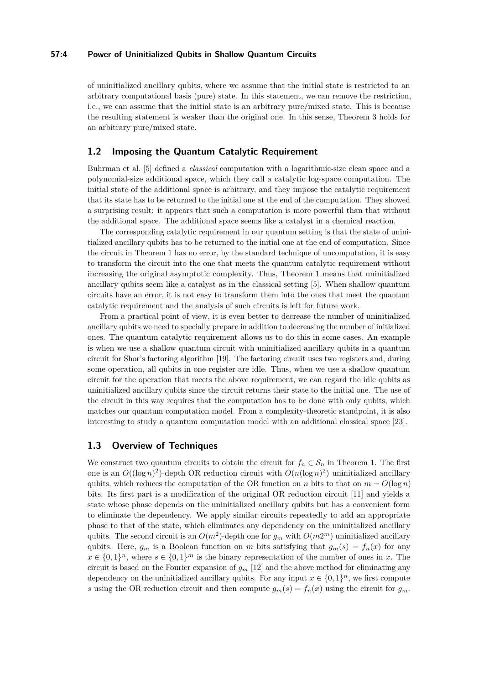## **57:4 Power of Uninitialized Qubits in Shallow Quantum Circuits**

of uninitialized ancillary qubits, where we assume that the initial state is restricted to an arbitrary computational basis (pure) state. In this statement, we can remove the restriction, i.e., we can assume that the initial state is an arbitrary pure/mixed state. This is because the resulting statement is weaker than the original one. In this sense, Theorem 3 holds for an arbitrary pure/mixed state.

## **1.2 Imposing the Quantum Catalytic Requirement**

Buhrman et al. [\[5\]](#page-12-18) defined a *classical* computation with a logarithmic-size clean space and a polynomial-size additional space, which they call a catalytic log-space computation. The initial state of the additional space is arbitrary, and they impose the catalytic requirement that its state has to be returned to the initial one at the end of the computation. They showed a surprising result: it appears that such a computation is more powerful than that without the additional space. The additional space seems like a catalyst in a chemical reaction.

The corresponding catalytic requirement in our quantum setting is that the state of uninitialized ancillary qubits has to be returned to the initial one at the end of computation. Since the circuit in Theorem [1](#page-1-0) has no error, by the standard technique of uncomputation, it is easy to transform the circuit into the one that meets the quantum catalytic requirement without increasing the original asymptotic complexity. Thus, Theorem [1](#page-1-0) means that uninitialized ancillary qubits seem like a catalyst as in the classical setting [\[5\]](#page-12-18). When shallow quantum circuits have an error, it is not easy to transform them into the ones that meet the quantum catalytic requirement and the analysis of such circuits is left for future work.

From a practical point of view, it is even better to decrease the number of uninitialized ancillary qubits we need to specially prepare in addition to decreasing the number of initialized ones. The quantum catalytic requirement allows us to do this in some cases. An example is when we use a shallow quantum circuit with uninitialized ancillary qubits in a quantum circuit for Shor's factoring algorithm [\[19\]](#page-12-15). The factoring circuit uses two registers and, during some operation, all qubits in one register are idle. Thus, when we use a shallow quantum circuit for the operation that meets the above requirement, we can regard the idle qubits as uninitialized ancillary qubits since the circuit returns their state to the initial one. The use of the circuit in this way requires that the computation has to be done with only qubits, which matches our quantum computation model. From a complexity-theoretic standpoint, it is also interesting to study a quantum computation model with an additional classical space [\[23\]](#page-12-19).

## <span id="page-3-0"></span>**1.3 Overview of Techniques**

We construct two quantum circuits to obtain the circuit for  $f_n \in S_n$  in Theorem [1.](#page-1-0) The first one is an  $O((\log n)^2)$ -depth OR reduction circuit with  $O(n(\log n)^2)$  uninitialized ancillary qubits, which reduces the computation of the OR function on *n* bits to that on  $m = O(\log n)$ bits. Its first part is a modification of the original OR reduction circuit [\[11\]](#page-12-4) and yields a state whose phase depends on the uninitialized ancillary qubits but has a convenient form to eliminate the dependency. We apply similar circuits repeatedly to add an appropriate phase to that of the state, which eliminates any dependency on the uninitialized ancillary qubits. The second circuit is an  $O(m^2)$ -depth one for  $g_m$  with  $O(m2^m)$  uninitialized ancillary qubits. Here,  $g_m$  is a Boolean function on *m* bits satisfying that  $g_m(s) = f_n(x)$  for any  $x \in \{0,1\}^n$ , where  $s \in \{0,1\}^m$  is the binary representation of the number of ones in *x*. The circuit is based on the Fourier expansion of  $g_m$  [\[12\]](#page-12-16) and the above method for eliminating any dependency on the uninitialized ancillary qubits. For any input  $x \in \{0,1\}^n$ , we first compute *s* using the OR reduction circuit and then compute  $g_m(s) = f_n(x)$  using the circuit for  $g_m$ .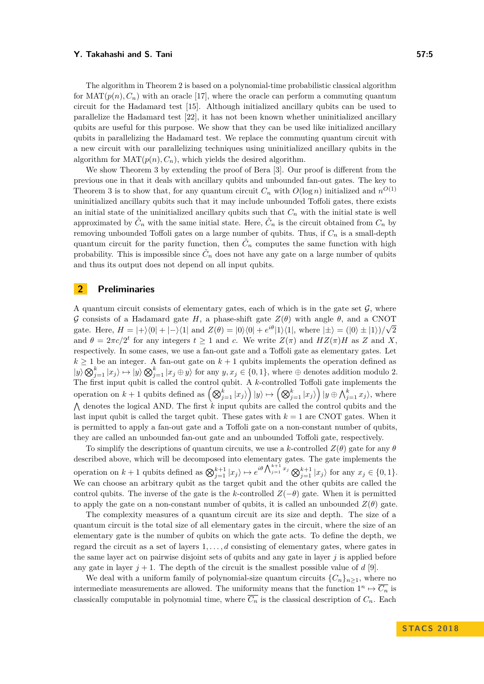The algorithm in Theorem [2](#page-2-0) is based on a polynomial-time probabilistic classical algorithm for  $\text{MAT}(p(n), C_n)$  with an oracle [\[17\]](#page-12-17), where the oracle can perform a commuting quantum circuit for the Hadamard test [\[15\]](#page-12-20). Although initialized ancillary qubits can be used to parallelize the Hadamard test [\[22\]](#page-12-7), it has not been known whether uninitialized ancillary qubits are useful for this purpose. We show that they can be used like initialized ancillary qubits in parallelizing the Hadamard test. We replace the commuting quantum circuit with a new circuit with our parallelizing techniques using uninitialized ancillary qubits in the algorithm for  $\text{MAT}(p(n), C_n)$ , which yields the desired algorithm.

We show Theorem [3](#page-2-1) by extending the proof of Bera [\[3\]](#page-12-6). Our proof is different from the previous one in that it deals with ancillary qubits and unbounded fan-out gates. The key to Theorem [3](#page-2-1) is to show that, for any quantum circuit  $C_n$  with  $O(\log n)$  initialized and  $n^{O(1)}$ uninitialized ancillary qubits such that it may include unbounded Toffoli gates, there exists an initial state of the uninitialized ancillary qubits such that  $C<sub>n</sub>$  with the initial state is well approximated by  $\tilde{C}_n$  with the same initial state. Here,  $\tilde{C}_n$  is the circuit obtained from  $C_n$  by removing unbounded Toffoli gates on a large number of qubits. Thus, if *C<sup>n</sup>* is a small-depth quantum circuit for the parity function, then  $\tilde{C}_n$  computes the same function with high probability. This is impossible since  $\tilde{C}_n$  does not have any gate on a large number of qubits and thus its output does not depend on all input qubits.

# **2 Preliminaries**

A quantum circuit consists of elementary gates, each of which is in the gate set  $\mathcal{G}$ , where G consists of a Hadamard gate *H*, a phase-shift gate *Z*(*θ*) with angle *θ*, and a CNOT √ gate. Here,  $H = |+\rangle\langle 0| + |-\rangle\langle 1|$  and  $Z(\theta) = |0\rangle\langle 0| + e^{i\theta} |1\rangle\langle 1|$ , where  $|\pm\rangle = (|0\rangle \pm |1\rangle)/\sqrt{2}$ and  $\theta = 2\pi c/2^t$  for any integers  $t \ge 1$  and *c*. We write  $Z(\pi)$  and  $HZ(\pi)H$  as Z and X, respectively. In some cases, we use a fan-out gate and a Toffoli gate as elementary gates. Let  $k \geq 1$  be an integer. A fan-out gate on  $k + 1$  qubits implements the operation defined as  $|y\rangle \bigotimes_{j=1}^{k} |x_j\rangle \mapsto |y\rangle \bigotimes_{j=1}^{k} |x_j \oplus y\rangle$  for any  $y, x_j \in \{0, 1\}$ , where  $\oplus$  denotes addition modulo 2. The first input qubit is called the control qubit. A  $k$ -controlled Toffoli gate implements the operation on  $k + 1$  qubits defined as  $\left( \bigotimes_{j=1}^k |x_j \rangle \right) |y\rangle \mapsto \left( \bigotimes_{j=1}^k |x_j \rangle \right) |y \oplus \bigwedge_{j=1}^k x_j \rangle$ , where  $\Lambda$  denotes the logical AND. The first  $k$  input qubits are called the control qubits and the last input qubit is called the target qubit. These gates with  $k = 1$  are CNOT gates. When it is permitted to apply a fan-out gate and a Toffoli gate on a non-constant number of qubits, they are called an unbounded fan-out gate and an unbounded Toffoli gate, respectively.

To simplify the descriptions of quantum circuits, we use a *k*-controlled  $Z(\theta)$  gate for any  $\theta$ described above, which will be decomposed into elementary gates. The gate implements the operation on  $k+1$  qubits defined as  $\bigotimes_{j=1}^{k+1} |x_j\rangle \mapsto e^{i\theta \bigwedge_{j=1}^{k+1} x_j} \bigotimes_{j=1}^{k+1} |x_j\rangle$  for any  $x_j \in \{0,1\}$ . We can choose an arbitrary qubit as the target qubit and the other qubits are called the control qubits. The inverse of the gate is the *k*-controlled  $Z(-\theta)$  gate. When it is permitted to apply the gate on a non-constant number of qubits, it is called an unbounded  $Z(\theta)$  gate.

The complexity measures of a quantum circuit are its size and depth. The size of a quantum circuit is the total size of all elementary gates in the circuit, where the size of an elementary gate is the number of qubits on which the gate acts. To define the depth, we regard the circuit as a set of layers 1*, . . . , d* consisting of elementary gates, where gates in the same layer act on pairwise disjoint sets of qubits and any gate in layer *j* is applied before any gate in layer  $j + 1$ . The depth of the circuit is the smallest possible value of  $d$  [\[9\]](#page-12-3).

We deal with a uniform family of polynomial-size quantum circuits  ${C_n}_{n>1}$ , where no intermediate measurements are allowed. The uniformity means that the function  $1^n \mapsto \overline{C_n}$  is classically computable in polynomial time, where  $\overline{C_n}$  is the classical description of  $C_n$ . Each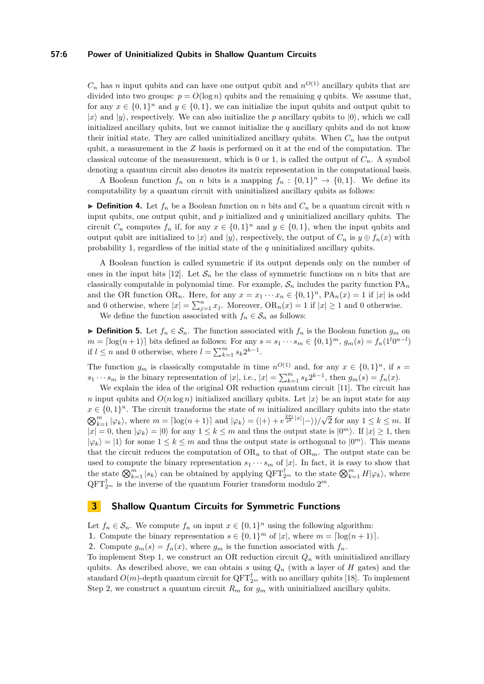## **57:6 Power of Uninitialized Qubits in Shallow Quantum Circuits**

 $C_n$  has *n* input qubits and can have one output qubit and  $n^{O(1)}$  ancillary qubits that are divided into two groups:  $p = O(\log n)$  qubits and the remaining q qubits. We assume that, for any  $x \in \{0,1\}^n$  and  $y \in \{0,1\}$ , we can initialize the input qubits and output qubit to  $|x\rangle$  and  $|y\rangle$ , respectively. We can also initialize the *p* ancillary qubits to  $|0\rangle$ , which we call initialized ancillary qubits, but we cannot initialize the *q* ancillary qubits and do not know their initial state. They are called uninitialized ancillary qubits. When  $C_n$  has the output qubit, a measurement in the *Z* basis is performed on it at the end of the computation. The classical outcome of the measurement, which is 0 or 1, is called the output of  $C_n$ . A symbol denoting a quantum circuit also denotes its matrix representation in the computational basis.

A Boolean function  $f_n$  on *n* bits is a mapping  $f_n : \{0,1\}^n \to \{0,1\}$ . We define its computability by a quantum circuit with uninitialized ancillary qubits as follows:

 $\triangleright$  **Definition 4.** Let  $f_n$  be a Boolean function on *n* bits and  $C_n$  be a quantum circuit with *n* input qubits, one output qubit, and *p* initialized and *q* uninitialized ancillary qubits. The circuit  $C_n$  computes  $f_n$  if, for any  $x \in \{0,1\}^n$  and  $y \in \{0,1\}$ , when the input qubits and output qubit are initialized to  $|x\rangle$  and  $|y\rangle$ , respectively, the output of  $C_n$  is  $y \oplus f_n(x)$  with probability 1, regardless of the initial state of the *q* uninitialized ancillary qubits.

A Boolean function is called symmetric if its output depends only on the number of ones in the input bits [\[12\]](#page-12-16). Let  $S_n$  be the class of symmetric functions on *n* bits that are classically computable in polynomial time. For example,  $S_n$  includes the parity function  $PA_n$ and the OR function OR<sub>*n*</sub>. Here, for any  $x = x_1 \cdots x_n \in \{0,1\}^n$ ,  $PA_n(x) = 1$  if  $|x|$  is odd and 0 otherwise, where  $|x| = \sum_{j=1}^{n} x_j$ . Moreover,  $OR_n(x) = 1$  if  $|x| \ge 1$  and 0 otherwise.

We define the function associated with  $f_n \in S_n$  as follows:

▶ **Definition 5.** Let  $f_n \in S_n$ . The function associated with  $f_n$  is the Boolean function  $g_m$  on  $m = \left[ \log(n+1) \right]$  bits defined as follows: For any  $s = s_1 \cdots s_m \in \{0, 1\}^m$ ,  $g_m(s) = f_n(1^l 0^{n-l})$ if  $l \leq n$  and 0 otherwise, where  $l = \sum_{k=1}^{m} s_k 2^{k-1}$ .

The function  $g_m$  is classically computable in time  $n^{O(1)}$  and, for any  $x \in \{0,1\}^n$ , if  $s =$  $s_1 \cdots s_m$  is the binary representation of |*x*|, i.e.,  $|x| = \sum_{k=1}^m s_k 2^{k-1}$ , then  $g_m(s) = f_n(x)$ .

We explain the idea of the original OR reduction quantum circuit [\[11\]](#page-12-4). The circuit has *n* input qubits and  $O(n \log n)$  initialized ancillary qubits. Let  $|x\rangle$  be an input state for any  $x \in \{0,1\}^n$ . The circuit transforms the state of *m* initialized ancillary qubits into the state  $\bigotimes_{k=1}^{m} |\varphi_k\rangle$ , where  $m = \lceil \log(n+1) \rceil$  and  $|\varphi_k\rangle = (|\n+ \rangle + e^{\frac{2\pi i}{2^k} |x|} |\n- \rangle)/$ √ 2 for any  $1 \leq k \leq m$ . If  $|x| = 0$ , then  $|\varphi_k\rangle = |0\rangle$  for any  $1 \leq k \leq m$  and thus the output state is  $|0^m\rangle$ . If  $|x| \geq 1$ , then  $|\varphi_k\rangle = |1\rangle$  for some  $1 \leq k \leq m$  and thus the output state is orthogonal to  $|0^m\rangle$ . This means that the circuit reduces the computation of  $OR_n$  to that of  $OR_m$ . The output state can be used to compute the binary representation  $s_1 \cdots s_m$  of |x|. In fact, it is easy to show that the state  $\bigotimes_{k=1}^{m} |s_k\rangle$  can be obtained by applying  $\mathrm{QFT}_{2^m}^{\dagger}$  to the state  $\bigotimes_{k=1}^{m} H|\varphi_k\rangle$ , where  $\mathrm{QFT}_{2^m}^{\dagger}$  is the inverse of the quantum Fourier transform modulo  $2^m$ .

# <span id="page-5-0"></span>**3 Shallow Quantum Circuits for Symmetric Functions**

Let  $f_n \in \mathcal{S}_n$ . We compute  $f_n$  on input  $x \in \{0,1\}^n$  using the following algorithm:

**1.** Compute the binary representation  $s \in \{0,1\}^m$  of  $|x|$ , where  $m = \lceil \log(n+1) \rceil$ .

**2.** Compute  $g_m(s) = f_n(x)$ , where  $g_m$  is the function associated with  $f_n$ .

To implement Step 1, we construct an OR reduction circuit  $Q_n$  with uninitialized ancillary qubits. As described above, we can obtain  $s$  using  $Q_n$  (with a layer of  $H$  gates) and the standard  $O(m)$ -depth quantum circuit for  $\mathrm{QFT}_{2^m}^\dagger$  with no ancillary qubits [\[18\]](#page-12-21). To implement Step 2, we construct a quantum circuit  $R_m$  for  $g_m$  with uninitialized ancillary qubits.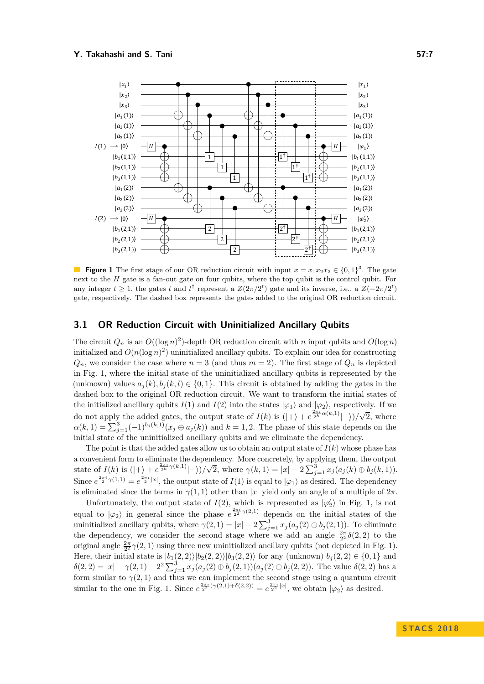<span id="page-6-0"></span>

**Figure 1** The first stage of our OR reduction circuit with input  $x = x_1 x_2 x_3 \in \{0, 1\}^3$ . The gate next to the *H* gate is a fan-out gate on four qubits, where the top qubit is the control qubit. For any integer  $t \geq 1$ , the gates *t* and  $t^{\dagger}$  represent a  $Z(2\pi/2^t)$  gate and its inverse, i.e., a  $Z(-2\pi/2^t)$ gate, respectively. The dashed box represents the gates added to the original OR reduction circuit.

## <span id="page-6-1"></span>**3.1 OR Reduction Circuit with Uninitialized Ancillary Qubits**

The circuit  $Q_n$  is an  $O((\log n)^2)$ -depth OR reduction circuit with *n* input qubits and  $O(\log n)$ initialized and  $O(n(\log n)^2)$  uninitialized ancillary qubits. To explain our idea for constructing  $Q_n$ , we consider the case where  $n = 3$  (and thus  $m = 2$ ). The first stage of  $Q_n$  is depicted in Fig. [1,](#page-6-0) where the initial state of the uninitialized ancillary qubits is represented by the (unknown) values  $a_j(k), b_j(k, l) \in \{0, 1\}$ . This circuit is obtained by adding the gates in the dashed box to the original OR reduction circuit. We want to transform the initial states of the initialized ancillary qubits  $I(1)$  and  $I(2)$  into the states  $|\varphi_1\rangle$  and  $|\varphi_2\rangle$ , respectively. If we do not apply the added gates, the output state of  $I(k)$  is  $(|+\rangle + e^{\frac{2\pi i}{2} \alpha(k,1)}|-)/\sqrt{k}$ 2, where  $\alpha(k,1) = \sum_{j=1}^{3} (-1)^{b_j(k,1)} (x_j \oplus a_j(k))$  and  $k = 1,2$ . The phase of this state depends on the initial state of the uninitialized ancillary qubits and we eliminate the dependency.

The point is that the added gates allow us to obtain an output state of  $I(k)$  whose phase has a convenient form to eliminate the dependency. More concretely, by applying them, the output state of  $I(k)$  is  $(|+\rangle + e^{\frac{2\pi i}{2^k}\gamma(k,1)}|-\rangle)/\sqrt{2^k}$ 2, where  $\gamma(k, 1) = |x| - 2\sum_{j=1}^{3} x_j(a_j(k) \oplus b_j(k, 1)).$ Since  $e^{\frac{2\pi i}{2}\gamma(1,1)} = e^{\frac{2\pi i}{2}|x|}$ , the output state of  $I(1)$  is equal to  $|\varphi_1\rangle$  as desired. The dependency is eliminated since the terms in  $\gamma(1,1)$  other than |*x*| yield only an angle of a multiple of  $2\pi$ .

Unfortunately, the output state of  $I(2)$ , which is represented as  $|\varphi'_2\rangle$  in Fig. [1,](#page-6-0) is not equal to  $|\varphi_2\rangle$  in general since the phase  $e^{\frac{2\pi i}{2} \gamma(2,1)}$  depends on the initial states of the uninitialized ancillary qubits, where  $\gamma(2, 1) = |x| - 2\sum_{j=1}^{3} x_j(a_j(2) \oplus b_j(2, 1))$ . To eliminate the dependency, we consider the second stage where we add an angle  $\frac{2\pi}{2^2}\delta(2,2)$  to the original angle  $\frac{2\pi}{2^2}\gamma(2,1)$  using three new uninitialized ancillary qubits (not depicted in Fig. [1\)](#page-6-0). Here, their initial state is  $|b_1(2,2)\rangle|b_2(2,2)\rangle|b_3(2,2)\rangle$  for any (unknown)  $b_j(2,2) \in \{0,1\}$  and  $\delta(2,2) = |x| - \gamma(2,1) - 2^2 \sum_{j=1}^3 x_j (a_j(2) \oplus b_j(2,1))(a_j(2) \oplus b_j(2,2)).$  The value  $\delta(2,2)$  has a form similar to  $\gamma(2,1)$  and thus we can implement the second stage using a quantum circuit similar to the one in Fig. [1.](#page-6-0) Since  $e^{\frac{2\pi i}{2^2}(\gamma(2,1)+\delta(2,2))} = e^{\frac{2\pi i}{2^2}|x|}$ , we obtain  $|\varphi_2\rangle$  as desired.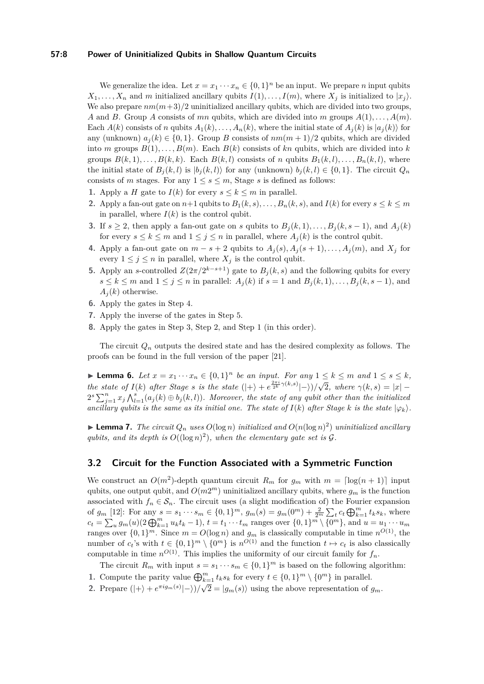## **57:8 Power of Uninitialized Qubits in Shallow Quantum Circuits**

We generalize the idea. Let  $x = x_1 \cdots x_n \in \{0,1\}^n$  be an input. We prepare *n* input qubits  $X_1, \ldots, X_n$  and *m* initialized ancillary qubits  $I(1), \ldots, I(m)$ , where  $X_j$  is initialized to  $|x_j\rangle$ . We also prepare  $nm(m+3)/2$  uninitialized ancillary qubits, which are divided into two groups, *A* and *B*. Group *A* consists of *mn* qubits, which are divided into *m* groups *A*(1)*, . . . , A*(*m*). Each  $A(k)$  consists of *n* qubits  $A_1(k), \ldots, A_n(k)$ , where the initial state of  $A_i(k)$  is  $|a_i(k)\rangle$  for any (unknown)  $a_j(k) \in \{0, 1\}$ . Group *B* consists of  $nm(m + 1)/2$  qubits, which are divided into *m* groups  $B(1), \ldots, B(m)$ . Each  $B(k)$  consists of kn qubits, which are divided into k groups  $B(k, 1), \ldots, B(k, k)$ . Each  $B(k, l)$  consists of *n* qubits  $B_1(k, l), \ldots, B_n(k, l)$ , where the initial state of  $B_j(k, l)$  is  $|b_j(k, l)\rangle$  for any (unknown)  $b_j(k, l) \in \{0, 1\}$ . The circuit  $Q_n$ consists of *m* stages. For any  $1 \leq s \leq m$ , Stage *s* is defined as follows:

- **1.** Apply a *H* gate to *I*(*k*) for every  $s \leq k \leq m$  in parallel.
- **2.** Apply a fan-out gate on  $n+1$  qubits to  $B_1(k, s), \ldots, B_n(k, s)$ , and  $I(k)$  for every  $s \leq k \leq m$ in parallel, where  $I(k)$  is the control qubit.
- **3.** If *s* ≥ 2, then apply a fan-out gate on *s* qubits to  $B_j(k, 1), \ldots, B_j(k, s − 1)$ , and  $A_j(k)$ for every  $s \leq k \leq m$  and  $1 \leq j \leq n$  in parallel, where  $A_i(k)$  is the control qubit.
- **4.** Apply a fan-out gate on  $m s + 2$  qubits to  $A_j(s), A_j(s + 1), \ldots, A_j(m)$ , and  $X_j$  for every  $1 \leq j \leq n$  in parallel, where  $X_j$  is the control qubit.
- **5.** Apply an *s*-controlled  $Z(2\pi/2^{k-s+1})$  gate to  $B_j(k, s)$  and the following qubits for every *s* ≤ *k* ≤ *m* and 1 ≤ *j* ≤ *n* in parallel:  $A_i(k)$  if  $s = 1$  and  $B_i(k, 1), \ldots, B_i(k, s - 1)$ , and  $A_i(k)$  otherwise.
- **6.** Apply the gates in Step 4.
- **7.** Apply the inverse of the gates in Step 5.
- **8.** Apply the gates in Step 3, Step 2, and Step 1 (in this order).

The circuit  $Q_n$  outputs the desired state and has the desired complexity as follows. The proofs can be found in the full version of the paper [\[21\]](#page-12-22).

<span id="page-7-0"></span>▶ **Lemma 6.** *Let*  $x = x_1 \cdots x_n \in \{0,1\}^n$  *be an input. For any*  $1 \leq k \leq m$  *and*  $1 \leq s \leq k$ *, the state of*  $I(k)$  *after Stage s is the state*  $(|+\rangle + e^{\frac{2\pi i}{2^k}\gamma(k,s)}|-\rangle)/$ √  $\gamma(2, \text{ where } \gamma(k, s) = |x| 2^{s}\sum_{j=1}^{n}x_{j}\bigwedge_{l=1}^{s}(a_{j}(k) \oplus b_{j}(k, l))$ . Moreover, the state of any qubit other than the initialized *ancillary qubits is the same as its initial one. The state of*  $I(k)$  after Stage  $k$  *is the state*  $|\varphi_k\rangle$ *.* 

<span id="page-7-1"></span>**Example 7.** The circuit  $Q_n$  uses  $O(\log n)$  initialized and  $O(n(\log n)^2)$  uninitialized ancillary qubits, and its depth is  $O((\log n)^2)$ , when the elementary gate set is  $\mathcal G$ .

## **3.2 Circuit for the Function Associated with a Symmetric Function**

We construct an  $O(m^2)$ -depth quantum circuit  $R_m$  for  $g_m$  with  $m = \lfloor \log(n+1) \rfloor$  input qubits, one output qubit, and  $O(m2^m)$  uninitialized ancillary qubits, where  $g_m$  is the function associated with  $f_n \in \mathcal{S}_n$ . The circuit uses (a slight modification of) the Fourier expansion of  $g_m$  [\[12\]](#page-12-16): For any  $s = s_1 \cdots s_m \in \{0, 1\}^m$ ,  $g_m(s) = g_m(0^m) + \frac{2}{2^m} \sum_t c_t \bigoplus_{k=1}^m t_k s_k$ , where  $c_t = \sum_u g_m(u) (2 \bigoplus_{k=1}^m u_k t_k - 1), t = t_1 \cdots t_m$  ranges over  $\{0, 1\}^m \setminus \{0^m\}$ , and  $u = u_1 \cdots u_m$ ranges over  $\{0,1\}^m$ . Since  $m = O(\log n)$  and  $g_m$  is classically computable in time  $n^{O(1)}$ , the number of  $c_t$ 's with  $t \in \{0,1\}^m \setminus \{0^m\}$  is  $n^{O(1)}$  and the function  $t \mapsto c_t$  is also classically computable in time  $n^{O(1)}$ . This implies the uniformity of our circuit family for  $f_n$ .

The circuit  $R_m$  with input  $s = s_1 \cdots s_m \in \{0,1\}^m$  is based on the following algorithm:

- **1.** Compute the parity value  $\bigoplus_{k=1}^{m} t_k s_k$  for every  $t \in \{0,1\}^m \setminus \{0^m\}$  in parallel.
- **2.** Prepare  $(|+\rangle + e^{\pi i g_m(s)}|-\rangle)/\sqrt{2} = |g_m(s)\rangle$  using the above representation of  $g_m$ .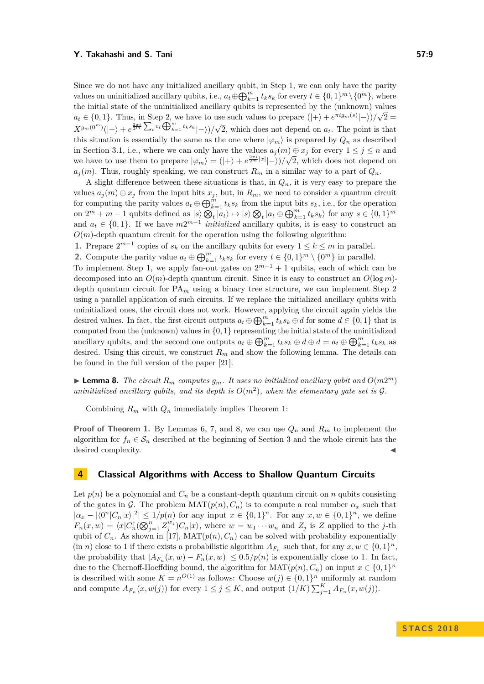Since we do not have any initialized ancillary qubit, in Step 1, we can only have the parity values on uninitialized ancillary qubits, i.e.,  $a_t \oplus \bigoplus_{k=1}^m t_k s_k$  for every  $t \in \{0,1\}^m \setminus \{0^m\}$ , where the initial state of the uninitialized ancillary qubits is represented by the (unknown) values  $a_t \in \{0, 1\}$ . Thus, in Step 2, we have to use such values to prepare  $(|+\rangle + e^{\pi i g_m(s)}|-\rangle)/\sqrt{2}$  $X^{g_m(0^m)}(|+\rangle + e^{\frac{2\pi i}{2^m}\sum_t c_t \bigoplus_{k=1}^m t_k s_k} |- \rangle)/$ √ 2, which does not depend on *at*. The point is that this situation is essentially the same as the one where  $|\varphi_m\rangle$  is prepared by  $Q_n$  as described in Section [3.1,](#page-6-1) i.e., where we can only have the values  $a_j(m) \oplus x_j$  for every  $1 \leq j \leq n$  and we have to use them to prepare  $|\varphi_m\rangle = (|\rangle + \rangle + e^{\frac{2\pi i}{2^m} |x|} |\rangle / \sqrt{2}$ , which does not depend on  $a_j(m)$ . Thus, roughly speaking, we can construct  $R_m$  in a similar way to a part of  $Q_n$ .

A slight difference between these situations is that, in  $Q_n$ , it is very easy to prepare the values  $a_j(m) \oplus x_j$  from the input bits  $x_j$ , but, in  $R_m$ , we need to consider a quantum circuit for computing the parity values  $a_t \oplus \bigoplus_{k=1}^m t_k s_k$  from the input bits  $s_k$ , i.e., for the operation on  $2^m + m - 1$  qubits defined as  $|s\rangle \bigotimes_t |a_t\rangle \mapsto |s\rangle \bigotimes_t |a_t \oplus \bigoplus_{k=1}^m t_k s_k\rangle$  for any  $s \in \{0,1\}^m$ and  $a_t \in \{0, 1\}$ . If we have  $m2^{m-1}$  *initialized* ancillary qubits, it is easy to construct an  $O(m)$ -depth quantum circuit for the operation using the following algorithm:

1. Prepare  $2^{m-1}$  copies of  $s_k$  on the ancillary qubits for every  $1 \leq k \leq m$  in parallel.

**2.** Compute the parity value  $a_t \oplus \bigoplus_{k=1}^m t_k s_k$  for every  $t \in \{0,1\}^m \setminus \{0^m\}$  in parallel.

To implement Step 1, we apply fan-out gates on  $2^{m-1} + 1$  qubits, each of which can be decomposed into an  $O(m)$ -depth quantum circuit. Since it is easy to construct an  $O(\log m)$ depth quantum circuit for  $PA_m$  using a binary tree structure, we can implement Step 2 using a parallel application of such circuits. If we replace the initialized ancillary qubits with uninitialized ones, the circuit does not work. However, applying the circuit again yields the desired values. In fact, the first circuit outputs  $a_t \oplus \bigoplus_{k=1}^m t_k s_k \oplus d$  for some  $d \in \{0,1\}$  that is computed from the (unknown) values in {0*,* 1} representing the initial state of the uninitialized ancillary qubits, and the second one outputs  $a_t \oplus \bigoplus_{k=1}^m t_k s_k \oplus d \oplus d = a_t \oplus \bigoplus_{k=1}^m t_k s_k$  as desired. Using this circuit, we construct  $R_m$  and show the following lemma. The details can be found in the full version of the paper [\[21\]](#page-12-22).

<span id="page-8-0"></span>**Example 8.** The circuit  $R_m$  computes  $g_m$ . It uses no initialized ancillary qubit and  $O(m2^m)$ uninitialized ancillary qubits, and its depth is  $O(m^2)$ , when the elementary gate set is  $\mathcal G$ .

Combining  $R_m$  with  $Q_n$  immediately implies Theorem [1:](#page-1-0)

**Proof of Theorem [1.](#page-1-0)** By Lemmas [6,](#page-7-0) [7,](#page-7-1) and [8,](#page-8-0) we can use *Q<sup>n</sup>* and *R<sup>m</sup>* to implement the algorithm for  $f_n \in S_n$  described at the beginning of Section [3](#page-5-0) and the whole circuit has the desired complexity.

## **4 Classical Algorithms with Access to Shallow Quantum Circuits**

Let  $p(n)$  be a polynomial and  $C_n$  be a constant-depth quantum circuit on *n* qubits consisting of the gates in G. The problem  $\text{MAT}(p(n), C_n)$  is to compute a real number  $\alpha_x$  such that  $|\alpha_x - |\langle 0^n | C_n | x \rangle|^2 \leq 1/p(n)$  for any input  $x \in \{0, 1\}^n$ . For any  $x, w \in \{0, 1\}^n$ , we define  $F_n(x,w) = \langle x | C_n^{\dagger}(\bigotimes_{j=1}^n Z_j^{w_j}) C_n | x \rangle$ , where  $w = w_1 \cdots w_n$  and  $Z_j$  is Z applied to the j-th qubit of  $C_n$ . As shown in [\[17\]](#page-12-17), MAT $(p(n), C_n)$  can be solved with probability exponentially (in *n*) close to 1 if there exists a probabilistic algorithm  $A_{F_n}$  such that, for any  $x, w \in \{0, 1\}^n$ , the probability that  $|A_{F_n}(x, w) - F_n(x, w)| \leq 0.5/p(n)$  is exponentially close to 1. In fact, due to the Chernoff-Hoeffding bound, the algorithm for  $\text{MAT}(p(n), C_n)$  on input  $x \in \{0, 1\}^n$ is described with some  $K = n^{O(1)}$  as follows: Choose  $w(j) \in \{0, 1\}^n$  uniformly at random and compute  $A_{F_n}(x, w(j))$  for every  $1 \leq j \leq K$ , and output  $(1/K) \sum_{j=1}^K A_{F_n}(x, w(j))$ .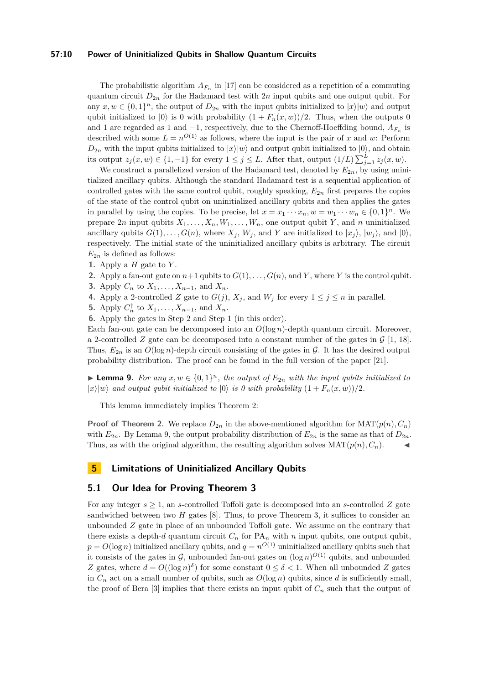#### **57:10 Power of Uninitialized Qubits in Shallow Quantum Circuits**

The probabilistic algorithm  $A_{F_n}$  in [\[17\]](#page-12-17) can be considered as a repetition of a commuting quantum circuit  $D_{2n}$  for the Hadamard test with  $2n$  input qubits and one output qubit. For any  $x, w \in \{0, 1\}^n$ , the output of  $D_{2n}$  with the input qubits initialized to  $|x\rangle|w\rangle$  and output qubit initialized to  $|0\rangle$  is 0 with probability  $(1 + F_n(x, w))/2$ . Thus, when the outputs 0 and 1 are regarded as 1 and −1, respectively, due to the Chernoff-Hoeffding bound, *AF<sup>n</sup>* is described with some  $L = n^{O(1)}$  as follows, where the input is the pair of *x* and *w*: Perform  $D_{2n}$  with the input qubits initialized to  $|x\rangle|w\rangle$  and output qubit initialized to  $|0\rangle$ , and obtain its output  $z_j(x, w) \in \{1, -1\}$  for every  $1 \leq j \leq L$ . After that, output  $(1/L) \sum_{j=1}^{L} z_j(x, w)$ .

We construct a parallelized version of the Hadamard test, denoted by  $E_{2n}$ , by using uninitialized ancillary qubits. Although the standard Hadamard test is a sequential application of controlled gates with the same control qubit, roughly speaking,  $E_{2n}$  first prepares the copies of the state of the control qubit on uninitialized ancillary qubits and then applies the gates in parallel by using the copies. To be precise, let  $x = x_1 \cdots x_n, w = w_1 \cdots w_n \in \{0,1\}^n$ . We prepare 2*n* input qubits  $X_1, \ldots, X_n, W_1, \ldots, W_n$ , one output qubit *Y*, and *n* uninitialized ancillary qubits  $G(1), \ldots, G(n)$ , where  $X_j$ ,  $W_j$ , and  $Y$  are initialized to  $|x_j\rangle$ ,  $|w_j\rangle$ , and  $|0\rangle$ , respectively. The initial state of the uninitialized ancillary qubits is arbitrary. The circuit  $E_{2n}$  is defined as follows:

- **1.** Apply a *H* gate to *Y* .
- **2.** Apply a fan-out gate on  $n+1$  qubits to  $G(1), \ldots, G(n)$ , and *Y*, where *Y* is the control qubit.
- **3.** Apply  $C_n$  to  $X_1, \ldots, X_{n-1}$ , and  $X_n$ .
- **4.** Apply a 2-controlled *Z* gate to  $G(j)$ ,  $X_j$ , and  $W_j$  for every  $1 \leq j \leq n$  in parallel.
- **5.** Apply  $C_n^{\dagger}$  to  $X_1, ..., X_{n-1}$ , and  $X_n$ .

**6.** Apply the gates in Step 2 and Step 1 (in this order).

Each fan-out gate can be decomposed into an *O*(log *n*)-depth quantum circuit. Moreover, a 2-controlled *Z* gate can be decomposed into a constant number of the gates in  $\mathcal{G}$  [\[1,](#page-12-14) [18\]](#page-12-21). Thus,  $E_{2n}$  is an  $O(\log n)$ -depth circuit consisting of the gates in  $\mathcal G$ . It has the desired output probability distribution. The proof can be found in the full version of the paper [\[21\]](#page-12-22).

<span id="page-9-0"></span>▶ **Lemma 9.** *For any*  $x, w \in \{0, 1\}^n$ , the output of  $E_{2n}$  with the input qubits initialized to  $|x\rangle|w\rangle$  *and output qubit initialized to*  $|0\rangle$  *is 0 with probability*  $(1 + F_n(x, w))/2$ .

This lemma immediately implies Theorem [2:](#page-2-0)

**Proof of Theorem [2.](#page-2-0)** We replace  $D_{2n}$  in the above-mentioned algorithm for  $\text{MAT}(p(n), C_n)$ with  $E_{2n}$ . By Lemma [9,](#page-9-0) the output probability distribution of  $E_{2n}$  is the same as that of  $D_{2n}$ . Thus, as with the original algorithm, the resulting algorithm solves  $\text{MAT}(p(n), C_n)$ .

# **5 Limitations of Uninitialized Ancillary Qubits**

## <span id="page-9-1"></span>**5.1 Our Idea for Proving Theorem [3](#page-2-1)**

For any integer  $s \geq 1$ , an *s*-controlled Toffoli gate is decomposed into an *s*-controlled *Z* gate sandwiched between two *H* gates [\[8\]](#page-12-5). Thus, to prove Theorem [3,](#page-2-1) it suffices to consider an unbounded *Z* gate in place of an unbounded Toffoli gate. We assume on the contrary that there exists a depth-*d* quantum circuit  $C_n$  for  $PA_n$  with *n* input qubits, one output qubit,  $p = O(\log n)$  initialized ancillary qubits, and  $q = n^{O(1)}$  uninitialized ancillary qubits such that it consists of the gates in  $\mathcal{G}$ , unbounded fan-out gates on  $(\log n)^{O(1)}$  qubits, and unbounded *Z* gates, where  $d = O((\log n)^{\delta})$  for some constant  $0 \leq \delta < 1$ . When all unbounded *Z* gates in  $C_n$  act on a small number of qubits, such as  $O(\log n)$  qubits, since *d* is sufficiently small, the proof of Bera  $[3]$  implies that there exists an input qubit of  $C_n$  such that the output of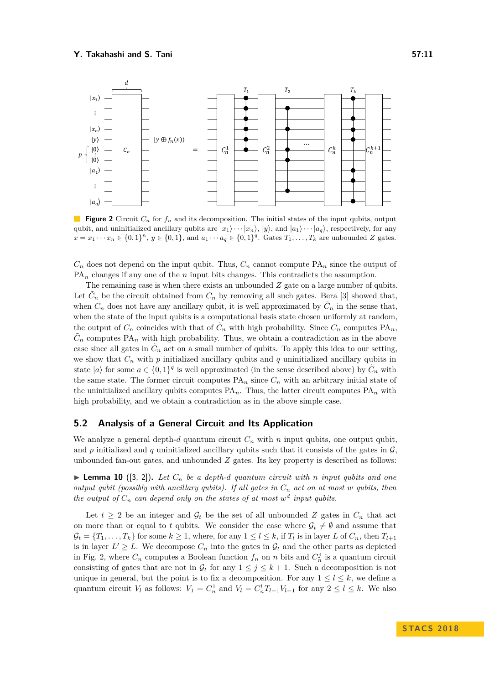<span id="page-10-0"></span>

**Figure 2** Circuit *C<sup>n</sup>* for *f<sup>n</sup>* and its decomposition. The initial states of the input qubits, output qubit, and uninitialized ancillary qubits are  $|x_1\rangle \cdots |x_n\rangle$ ,  $|y\rangle$ , and  $|a_1\rangle \cdots |a_q\rangle$ , respectively, for any  $x = x_1 \cdots x_n \in \{0,1\}^n$ ,  $y \in \{0,1\}$ , and  $a_1 \cdots a_q \in \{0,1\}^q$ . Gates  $T_1, \ldots, T_k$  are unbounded Z gates.

 $C_n$  does not depend on the input qubit. Thus,  $C_n$  cannot compute  $PA_n$  since the output of  $PA_n$  changes if any one of the *n* input bits changes. This contradicts the assumption.

The remaining case is when there exists an unbounded *Z* gate on a large number of qubits. Let  $\tilde{C}_n$  be the circuit obtained from  $C_n$  by removing all such gates. Bera [\[3\]](#page-12-6) showed that, when  $C_n$  does not have any ancillary qubit, it is well approximated by  $\tilde{C}_n$  in the sense that, when the state of the input qubits is a computational basis state chosen uniformly at random, the output of  $C_n$  coincides with that of  $\tilde{C}_n$  with high probability. Since  $C_n$  computes  $PA_n$ ,  $\tilde{C}_n$  computes PA<sub>n</sub> with high probability. Thus, we obtain a contradiction as in the above case since all gates in  $\tilde{C}_n$  act on a small number of qubits. To apply this idea to our setting, we show that  $C_n$  with  $p$  initialized ancillary qubits and  $q$  uninitialized ancillary qubits in state  $|a\rangle$  for some  $a \in \{0,1\}^q$  is well approximated (in the sense described above) by  $\tilde{C}_n$  with the same state. The former circuit computes  $PA_n$  since  $C_n$  with an arbitrary initial state of the uninitialized ancillary qubits computes  $PA_n$ . Thus, the latter circuit computes  $PA_n$  with high probability, and we obtain a contradiction as in the above simple case.

## **5.2 Analysis of a General Circuit and Its Application**

We analyze a general depth- $d$  quantum circuit  $C_n$  with  $n$  input qubits, one output qubit, and  $p$  initialized and  $q$  uninitialized ancillary qubits such that it consists of the gates in  $\mathcal{G}$ . unbounded fan-out gates, and unbounded *Z* gates. Its key property is described as follows:

<span id="page-10-1"></span> $\blacktriangleright$  **Lemma 10** ([\[3,](#page-12-6) [2\]](#page-12-23)). Let  $C_n$  be a depth-d quantum circuit with *n* input qubits and one *output qubit (possibly with ancillary qubits). If all gates in C<sup>n</sup> act on at most w qubits, then the output of*  $C_n$  *can depend only on the states of at most*  $w^d$  *input qubits.* 

Let  $t \geq 2$  be an integer and  $\mathcal{G}_t$  be the set of all unbounded Z gates in  $C_n$  that act on more than or equal to *t* qubits. We consider the case where  $\mathcal{G}_t \neq \emptyset$  and assume that  $\mathcal{G}_t = \{T_1, \ldots, T_k\}$  for some  $k \geq 1$ , where, for any  $1 \leq l \leq k$ , if  $T_l$  is in layer  $L$  of  $C_n$ , then  $T_{l+1}$ is in layer  $L' \geq L$ . We decompose  $C_n$  into the gates in  $\mathcal{G}_t$  and the other parts as depicted in Fig. [2,](#page-10-0) where  $C_n$  computes a Boolean function  $f_n$  on *n* bits and  $C_n^j$  is a quantum circuit consisting of gates that are not in  $\mathcal{G}_t$  for any  $1 \leq j \leq k+1$ . Such a decomposition is not unique in general, but the point is to fix a decomposition. For any  $1 \leq l \leq k$ , we define a quantum circuit  $V_l$  as follows:  $V_1 = C_n^1$  and  $V_l = C_n^l T_{l-1} V_{l-1}$  for any  $2 \le l \le k$ . We also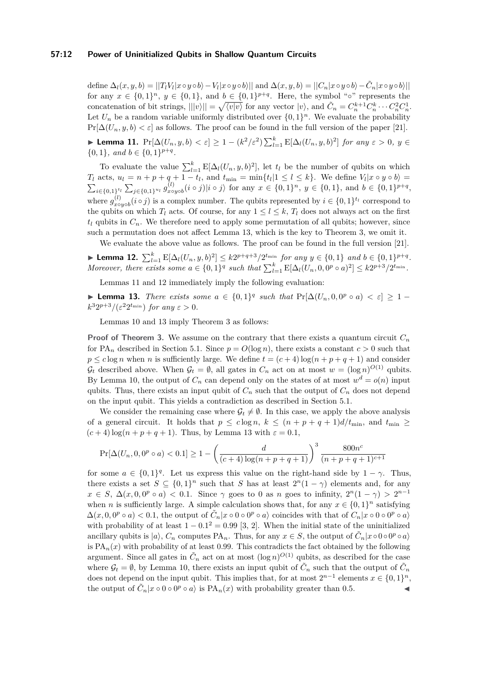#### **57:12 Power of Uninitialized Qubits in Shallow Quantum Circuits**

define  $\Delta_l(x,y,b) = ||T_l V_l|x\circ y \circ b\rangle - V_l|x\circ y \circ b\rangle||$  and  $\Delta(x,y,b) = ||C_n|x\circ y \circ b\rangle - \tilde{C}_n|x\circ y \circ b\rangle||$ for any  $x \in \{0,1\}^n$ ,  $y \in \{0,1\}$ , and  $b \in \{0,1\}^{p+q}$ . Here, the symbol "∘" represents the concatenation of bit strings,  $|||v\rangle|| = \sqrt{\langle v|v \rangle}$  for any vector  $|v\rangle$ , and  $\tilde{C}_n = C_n^{k+1} C_n^k \cdots C_n^2 C_n^1$ . Let  $U_n$  be a random variable uniformly distributed over  $\{0,1\}^n$ . We evaluate the probability  $Pr[\Delta(U_n, y, b) < \varepsilon]$  as follows. The proof can be found in the full version of the paper [\[21\]](#page-12-22).

<span id="page-11-1"></span>► Lemma 11.  $Pr[\Delta(U_n, y, b) < \varepsilon] \ge 1 - (k^2/\varepsilon^2) \sum_{l=1}^k E[\Delta_l(U_n, y, b)^2]$  for any  $\varepsilon > 0$ ,  $y \in$  $\{0, 1\}$ *, and*  $b \in \{0, 1\}^{p+q}$ *.* 

To evaluate the value  $\sum_{l=1}^{k} E[\Delta_l(U_n, y, b)^2]$ , let  $t_l$  be the number of qubits on which  $T_l$  acts,  $u_l = n + p + q + 1 - t_l$ , and  $t_{\min} = \min\{t_l | 1 \leq l \leq k\}$ . We define  $V_l | x \circ y \circ b \rangle =$  $\sum_{i \in \{0,1\}^{t_l}} \sum_{j \in \{0,1\}^{u_l}} g^{(l)}_{x\circ}$  $\langle f, g \rangle_{x \text{ o } y \text{ o } b}(i \circ j) | i \circ j \rangle$  for any  $x \in \{0, 1\}^n$ ,  $y \in \{0, 1\}$ , and  $b \in \{0, 1\}^{p+q}$ , where  $g_{xo}^{(l)}$  $\chi^{(l)}_{x \text{ o } y \text{ o } b}(i \circ j)$  is a complex number. The qubits represented by  $i \in \{0,1\}^{t_l}$  correspond to the qubits on which  $T_l$  acts. Of course, for any  $1 \leq l \leq k$ ,  $T_l$  does not always act on the first  $t_l$  qubits in  $C_n$ . We therefore need to apply some permutation of all qubits; however, since such a permutation does not affect Lemma [13,](#page-11-0) which is the key to Theorem [3,](#page-2-1) we omit it.

We evaluate the above value as follows. The proof can be found in the full version [\[21\]](#page-12-22).

<span id="page-11-2"></span>► Lemma 12.  $\sum_{l=1}^{k} E[\Delta_l(U_n, y, b)^2] \le k2^{p+q+3}/2^{t_{\min}}$  for any  $y \in \{0, 1\}$  and  $b \in \{0, 1\}^{p+q}$ . Moreover, there exists some  $a \in \{0,1\}^q$  such that  $\sum_{l=1}^k E[\Delta_l(U_n, 0, 0^p \circ a)^2] \leq k2^{p+3}/2^{t_{\min}}$ .

Lemmas [11](#page-11-1) and [12](#page-11-2) immediately imply the following evaluation:

<span id="page-11-0"></span>**► Lemma 13.** *There exists some*  $a \in \{0,1\}^q$  *such that*  $Pr[\Delta(U_n, 0, 0^p \circ a) < \varepsilon] \ge 1 k^3 2^{p+3}/(\varepsilon^2 2^{t_{\min}})$  *for any*  $\varepsilon > 0$ *.* 

Lemmas [10](#page-10-1) and [13](#page-11-0) imply Theorem [3](#page-2-1) as follows:

**Proof of Theorem [3.](#page-2-1)** We assume on the contrary that there exists a quantum circuit  $C_n$ for PA<sub>n</sub> described in Section [5.1.](#page-9-1) Since  $p = O(\log n)$ , there exists a constant  $c > 0$  such that  $p \leq c \log n$  when *n* is sufficiently large. We define  $t = (c + 4) \log(n + p + q + 1)$  and consider  $\mathcal{G}_t$  described above. When  $\mathcal{G}_t = \emptyset$ , all gates in  $C_n$  act on at most  $w = (\log n)^{O(1)}$  qubits. By Lemma [10,](#page-10-1) the output of  $C_n$  can depend only on the states of at most  $w^d = o(n)$  input qubits. Thus, there exists an input qubit of  $C_n$  such that the output of  $C_n$  does not depend on the input qubit. This yields a contradiction as described in Section [5.1.](#page-9-1)

We consider the remaining case where  $\mathcal{G}_t \neq \emptyset$ . In this case, we apply the above analysis of a general circuit. It holds that  $p \leq c \log n$ ,  $k \leq (n+p+q+1)d/t_{\min}$ , and  $t_{\min} \geq$  $(c+4) \log(n+p+q+1)$ . Thus, by Lemma [13](#page-11-0) with  $\varepsilon = 0.1$ ,

$$
\Pr[\Delta(U_n, 0, 0^p \circ a) < 0.1] \ge 1 - \left(\frac{d}{(c+4)\log(n+p+q+1)}\right)^3 \frac{800n^c}{(n+p+q+1)^{c+1}}
$$

for some  $a \in \{0,1\}^q$ . Let us express this value on the right-hand side by  $1 - \gamma$ . Thus, there exists a set  $S \subseteq \{0,1\}^n$  such that *S* has at least  $2^n(1-\gamma)$  elements and, for any  $x \in S$ ,  $\Delta(x, 0, 0^p \circ a) < 0.1$ . Since  $\gamma$  goes to 0 as *n* goes to infinity,  $2^n(1 - \gamma) > 2^{n-1}$ when *n* is sufficiently large. A simple calculation shows that, for any  $x \in \{0,1\}^n$  satisfying  $\Delta(x, 0, 0^p \circ a) < 0.1$ , the output of  $\tilde{C}_n|x \circ 0 \circ 0^p \circ a$  coincides with that of  $C_n|x \circ 0 \circ 0^p \circ a$ with probability of at least  $1 - 0.1^2 = 0.99$  [\[3,](#page-12-6) [2\]](#page-12-23). When the initial state of the uninitialized ancillary qubits is  $|a\rangle$ ,  $C_n$  computes PA<sub>n</sub>. Thus, for any  $x \in S$ , the output of  $\tilde{C}_n|x \circ 0 \circ 0^p \circ a\rangle$ is  $PA_n(x)$  with probability of at least 0.99. This contradicts the fact obtained by the following argument. Since all gates in  $\tilde{C}_n$  act on at most  $(\log n)^{O(1)}$  qubits, as described for the case where  $\mathcal{G}_t = \emptyset$ , by Lemma [10,](#page-10-1) there exists an input qubit of  $\tilde{C}_n$  such that the output of  $\tilde{C}_n$ does not depend on the input qubit. This implies that, for at most  $2^{n-1}$  elements  $x \in \{0,1\}^n$ , the output of  $\tilde{C}_n|x\circ 0\circ 0^p \circ a\rangle$  is  $\text{PA}_n(x)$  with probability greater than 0.5.